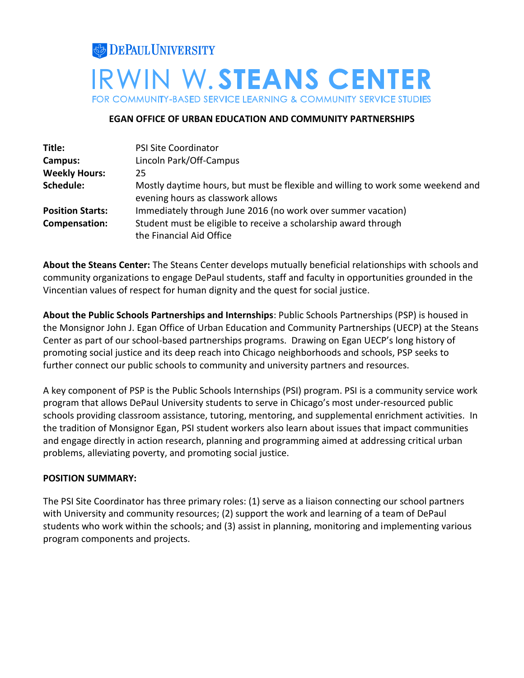# **DEPAUL UNIVERSITY IRWIN W.STEANS CENTER** FOR COMMUNITY-BASED SERVICE LEARNING & COMMUNITY SERVICE STUDIES

## **EGAN OFFICE OF URBAN EDUCATION AND COMMUNITY PARTNERSHIPS**

| Title:                  | <b>PSI Site Coordinator</b>                                                                                          |
|-------------------------|----------------------------------------------------------------------------------------------------------------------|
| Campus:                 | Lincoln Park/Off-Campus                                                                                              |
| <b>Weekly Hours:</b>    | 25                                                                                                                   |
| Schedule:               | Mostly daytime hours, but must be flexible and willing to work some weekend and<br>evening hours as classwork allows |
| <b>Position Starts:</b> | Immediately through June 2016 (no work over summer vacation)                                                         |
| Compensation:           | Student must be eligible to receive a scholarship award through<br>the Financial Aid Office                          |

**About the Steans Center:** The Steans Center develops mutually beneficial relationships with schools and community organizations to engage DePaul students, staff and faculty in opportunities grounded in the Vincentian values of respect for human dignity and the quest for social justice.

**About the Public Schools Partnerships and Internships**: Public Schools Partnerships (PSP) is housed in the Monsignor John J. Egan Office of Urban Education and Community Partnerships (UECP) at the Steans Center as part of our school-based partnerships programs. Drawing on Egan UECP's long history of promoting social justice and its deep reach into Chicago neighborhoods and schools, PSP seeks to further connect our public schools to community and university partners and resources.

A key component of PSP is the Public Schools Internships (PSI) program. PSI is a community service work program that allows DePaul University students to serve in Chicago's most under-resourced public schools providing classroom assistance, tutoring, mentoring, and supplemental enrichment activities. In the tradition of [Monsignor Egan,](http://www.amazon.com/An-Alley-Chicago-Legacy-Monsignor/dp/158051121X) PSI student workers also learn about issues that impact communities and engage directly in action research, planning and programming aimed at addressing critical urban problems, alleviating poverty, and promoting social justice.

# **POSITION SUMMARY:**

The PSI Site Coordinator has three primary roles: (1) serve as a liaison connecting our school partners with University and community resources; (2) support the work and learning of a team of DePaul students who work within the schools; and (3) assist in planning, monitoring and implementing various program components and projects.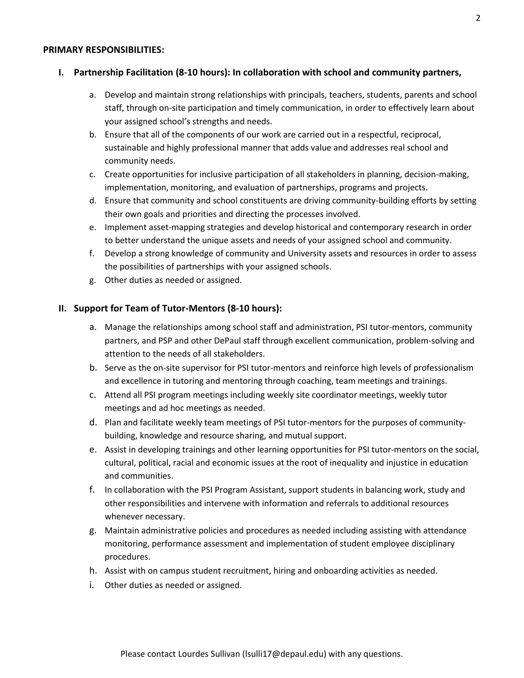#### **PRIMARY RESPONSIBILITIES:**

#### **I. Partnership Facilitation (8-10 hours): In collaboration with school and community partners,**

- a. Develop and maintain strong relationships with principals, teachers, students, parents and school staff, through on-site participation and timely communication, in order to effectively learn about your assigned school's strengths and needs.
- b. Ensure that all of the components of our work are carried out in a respectful, reciprocal, sustainable and highly professional manner that adds value and addresses real school and community needs.
- c. Create opportunities for inclusive participation of all stakeholders in planning, decision-making, implementation, monitoring, and evaluation of partnerships, programs and projects.
- d. Ensure that community and school constituents are driving community-building efforts by setting their own goals and priorities and directing the processes involved.
- e. Implement asset-mapping strategies and develop historical and contemporary research in order to better understand the unique assets and needs of your assigned school and community.
- f. Develop a strong knowledge of community and University assets and resources in order to assess the possibilities of partnerships with your assigned schools.
- g. Other duties as needed or assigned.

#### **II. Support for Team of Tutor-Mentors (8-10 hours):**

- a. Manage the relationships among school staff and administration, PSI tutor-mentors, community partners, and PSP and other DePaul staff through excellent communication, problem-solving and attention to the needs of all stakeholders.
- b. Serve as the on-site supervisor for PSI tutor-mentors and reinforce high levels of professionalism and excellence in tutoring and mentoring through coaching, team meetings and trainings.
- c. Attend all PSI program meetings including weekly site coordinator meetings, weekly tutor meetings and ad hoc meetings as needed.
- d. Plan and facilitate weekly team meetings of PSI tutor-mentors for the purposes of communitybuilding, knowledge and resource sharing, and mutual support.
- e. Assist in developing trainings and other learning opportunities for PSI tutor-mentors on the social, cultural, political, racial and economic issues at the root of inequality and injustice in education and communities.
- f. In collaboration with the PSI Program Assistant, support students in balancing work, study and other responsibilities and intervene with information and referrals to additional resources whenever necessary.
- g. Maintain administrative policies and procedures as needed including assisting with attendance monitoring, performance assessment and implementation of student employee disciplinary procedures.
- h. Assist with on campus student recruitment, hiring and onboarding activities as needed.
- i. Other duties as needed or assigned.